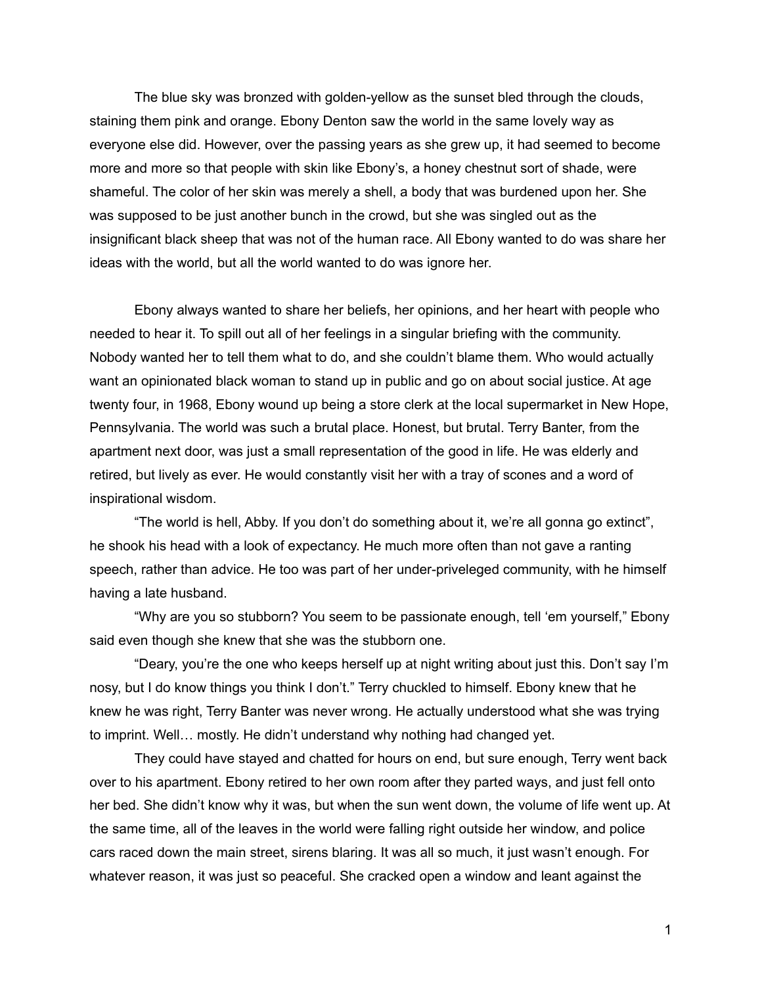The blue sky was bronzed with golden-yellow as the sunset bled through the clouds, staining them pink and orange. Ebony Denton saw the world in the same lovely way as everyone else did. However, over the passing years as she grew up, it had seemed to become more and more so that people with skin like Ebony's, a honey chestnut sort of shade, were shameful. The color of her skin was merely a shell, a body that was burdened upon her. She was supposed to be just another bunch in the crowd, but she was singled out as the insignificant black sheep that was not of the human race. All Ebony wanted to do was share her ideas with the world, but all the world wanted to do was ignore her.

Ebony always wanted to share her beliefs, her opinions, and her heart with people who needed to hear it. To spill out all of her feelings in a singular briefing with the community. Nobody wanted her to tell them what to do, and she couldn't blame them. Who would actually want an opinionated black woman to stand up in public and go on about social justice. At age twenty four, in 1968, Ebony wound up being a store clerk at the local supermarket in New Hope, Pennsylvania. The world was such a brutal place. Honest, but brutal. Terry Banter, from the apartment next door, was just a small representation of the good in life. He was elderly and retired, but lively as ever. He would constantly visit her with a tray of scones and a word of inspirational wisdom.

"The world is hell, Abby. If you don't do something about it, we're all gonna go extinct", he shook his head with a look of expectancy. He much more often than not gave a ranting speech, rather than advice. He too was part of her under-priveleged community, with he himself having a late husband.

"Why are you so stubborn? You seem to be passionate enough, tell 'em yourself," Ebony said even though she knew that she was the stubborn one.

"Deary, you're the one who keeps herself up at night writing about just this. Don't say I'm nosy, but I do know things you think I don't." Terry chuckled to himself. Ebony knew that he knew he was right, Terry Banter was never wrong. He actually understood what she was trying to imprint. Well… mostly. He didn't understand why nothing had changed yet.

They could have stayed and chatted for hours on end, but sure enough, Terry went back over to his apartment. Ebony retired to her own room after they parted ways, and just fell onto her bed. She didn't know why it was, but when the sun went down, the volume of life went up. At the same time, all of the leaves in the world were falling right outside her window, and police cars raced down the main street, sirens blaring. It was all so much, it just wasn't enough. For whatever reason, it was just so peaceful. She cracked open a window and leant against the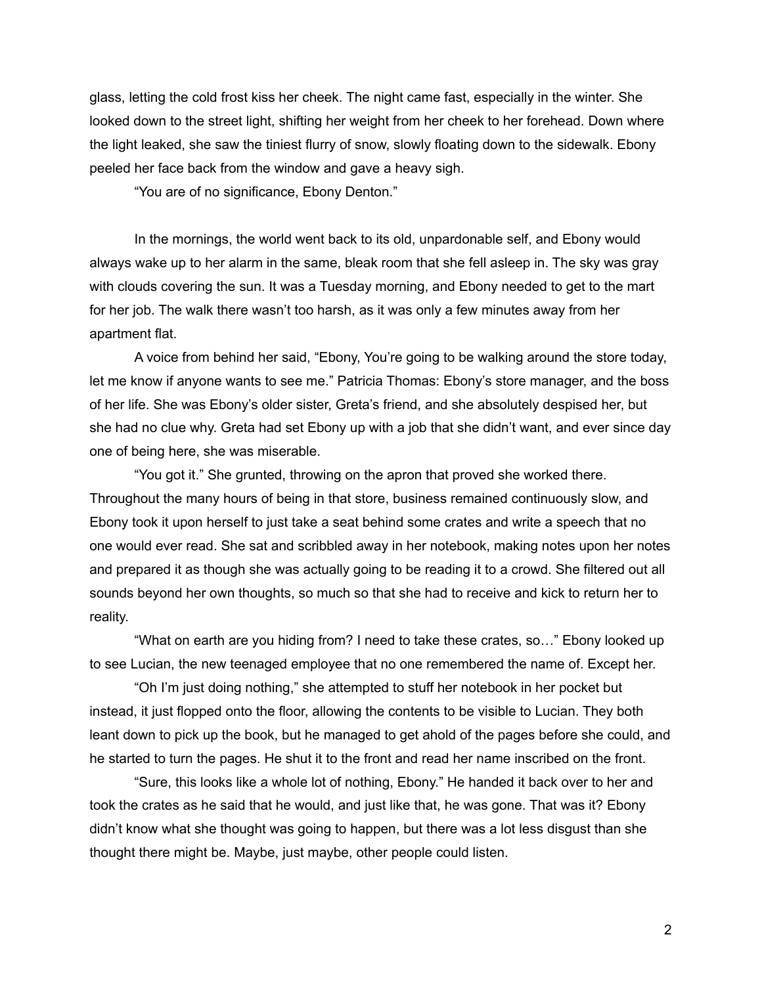glass, letting the cold frost kiss her cheek. The night came fast, especially in the winter. She looked down to the street light, shifting her weight from her cheek to her forehead. Down where the light leaked, she saw the tiniest flurry of snow, slowly floating down to the sidewalk. Ebony peeled her face back from the window and gave a heavy sigh.

"You are of no significance, Ebony Denton."

In the mornings, the world went back to its old, unpardonable self, and Ebony would always wake up to her alarm in the same, bleak room that she fell asleep in. The sky was gray with clouds covering the sun. It was a Tuesday morning, and Ebony needed to get to the mart for her job. The walk there wasn't too harsh, as it was only a few minutes away from her apartment flat.

A voice from behind her said, "Ebony, You're going to be walking around the store today, let me know if anyone wants to see me." Patricia Thomas: Ebony's store manager, and the boss of her life. She was Ebony's older sister, Greta's friend, and she absolutely despised her, but she had no clue why. Greta had set Ebony up with a job that she didn't want, and ever since day one of being here, she was miserable.

"You got it." She grunted, throwing on the apron that proved she worked there. Throughout the many hours of being in that store, business remained continuously slow, and Ebony took it upon herself to just take a seat behind some crates and write a speech that no one would ever read. She sat and scribbled away in her notebook, making notes upon her notes and prepared it as though she was actually going to be reading it to a crowd. She filtered out all sounds beyond her own thoughts, so much so that she had to receive and kick to return her to reality.

"What on earth are you hiding from? I need to take these crates, so…" Ebony looked up to see Lucian, the new teenaged employee that no one remembered the name of. Except her.

"Oh I'm just doing nothing," she attempted to stuff her notebook in her pocket but instead, it just flopped onto the floor, allowing the contents to be visible to Lucian. They both leant down to pick up the book, but he managed to get ahold of the pages before she could, and he started to turn the pages. He shut it to the front and read her name inscribed on the front.

"Sure, this looks like a whole lot of nothing, Ebony." He handed it back over to her and took the crates as he said that he would, and just like that, he was gone. That was it? Ebony didn't know what she thought was going to happen, but there was a lot less disgust than she thought there might be. Maybe, just maybe, other people could listen.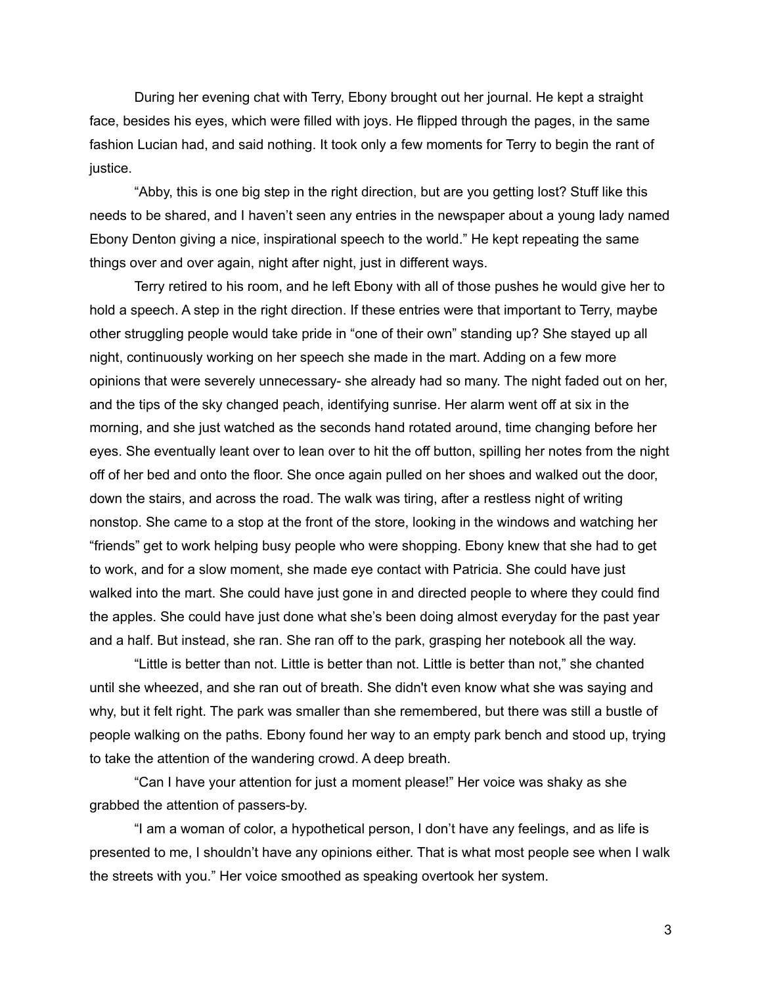During her evening chat with Terry, Ebony brought out her journal. He kept a straight face, besides his eyes, which were filled with joys. He flipped through the pages, in the same fashion Lucian had, and said nothing. It took only a few moments for Terry to begin the rant of justice.

"Abby, this is one big step in the right direction, but are you getting lost? Stuff like this needs to be shared, and I haven't seen any entries in the newspaper about a young lady named Ebony Denton giving a nice, inspirational speech to the world." He kept repeating the same things over and over again, night after night, just in different ways.

Terry retired to his room, and he left Ebony with all of those pushes he would give her to hold a speech. A step in the right direction. If these entries were that important to Terry, maybe other struggling people would take pride in "one of their own" standing up? She stayed up all night, continuously working on her speech she made in the mart. Adding on a few more opinions that were severely unnecessary- she already had so many. The night faded out on her, and the tips of the sky changed peach, identifying sunrise. Her alarm went off at six in the morning, and she just watched as the seconds hand rotated around, time changing before her eyes. She eventually leant over to lean over to hit the off button, spilling her notes from the night off of her bed and onto the floor. She once again pulled on her shoes and walked out the door, down the stairs, and across the road. The walk was tiring, after a restless night of writing nonstop. She came to a stop at the front of the store, looking in the windows and watching her "friends" get to work helping busy people who were shopping. Ebony knew that she had to get to work, and for a slow moment, she made eye contact with Patricia. She could have just walked into the mart. She could have just gone in and directed people to where they could find the apples. She could have just done what she's been doing almost everyday for the past year and a half. But instead, she ran. She ran off to the park, grasping her notebook all the way.

"Little is better than not. Little is better than not. Little is better than not," she chanted until she wheezed, and she ran out of breath. She didn't even know what she was saying and why, but it felt right. The park was smaller than she remembered, but there was still a bustle of people walking on the paths. Ebony found her way to an empty park bench and stood up, trying to take the attention of the wandering crowd. A deep breath.

"Can I have your attention for just a moment please!" Her voice was shaky as she grabbed the attention of passers-by.

"I am a woman of color, a hypothetical person, I don't have any feelings, and as life is presented to me, I shouldn't have any opinions either. That is what most people see when I walk the streets with you." Her voice smoothed as speaking overtook her system.

3